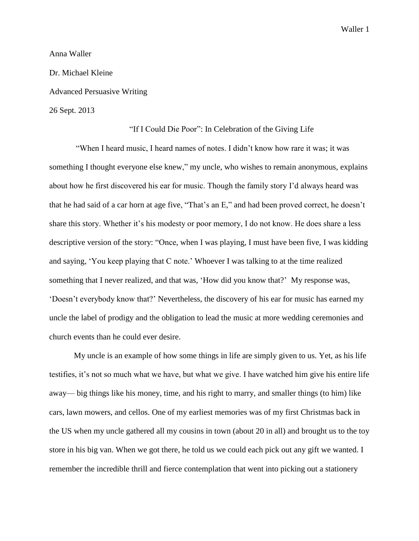Waller 1

## Anna Waller

Dr. Michael Kleine Advanced Persuasive Writing 26 Sept. 2013

## "If I Could Die Poor": In Celebration of the Giving Life

"When I heard music, I heard names of notes. I didn't know how rare it was; it was something I thought everyone else knew," my uncle, who wishes to remain anonymous, explains about how he first discovered his ear for music. Though the family story I'd always heard was that he had said of a car horn at age five, "That's an E," and had been proved correct, he doesn't share this story. Whether it's his modesty or poor memory, I do not know. He does share a less descriptive version of the story: "Once, when I was playing, I must have been five, I was kidding and saying, 'You keep playing that C note.' Whoever I was talking to at the time realized something that I never realized, and that was, 'How did you know that?' My response was, 'Doesn't everybody know that?' Nevertheless, the discovery of his ear for music has earned my uncle the label of prodigy and the obligation to lead the music at more wedding ceremonies and church events than he could ever desire.

My uncle is an example of how some things in life are simply given to us. Yet, as his life testifies, it's not so much what we have, but what we give. I have watched him give his entire life away— big things like his money, time, and his right to marry, and smaller things (to him) like cars, lawn mowers, and cellos. One of my earliest memories was of my first Christmas back in the US when my uncle gathered all my cousins in town (about 20 in all) and brought us to the toy store in his big van. When we got there, he told us we could each pick out any gift we wanted. I remember the incredible thrill and fierce contemplation that went into picking out a stationery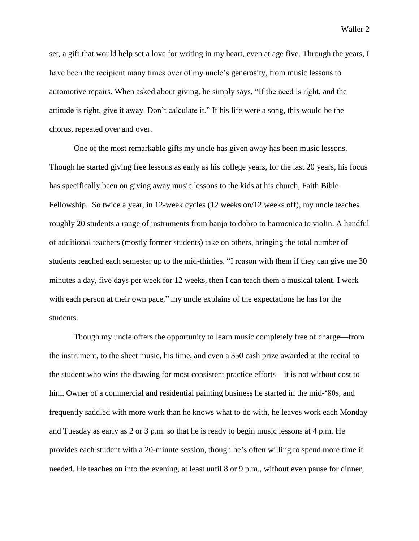set, a gift that would help set a love for writing in my heart, even at age five. Through the years, I have been the recipient many times over of my uncle's generosity, from music lessons to automotive repairs. When asked about giving, he simply says, "If the need is right, and the attitude is right, give it away. Don't calculate it." If his life were a song, this would be the chorus, repeated over and over.

One of the most remarkable gifts my uncle has given away has been music lessons. Though he started giving free lessons as early as his college years, for the last 20 years, his focus has specifically been on giving away music lessons to the kids at his church, Faith Bible Fellowship. So twice a year, in 12-week cycles (12 weeks on/12 weeks off), my uncle teaches roughly 20 students a range of instruments from banjo to dobro to harmonica to violin. A handful of additional teachers (mostly former students) take on others, bringing the total number of students reached each semester up to the mid-thirties. "I reason with them if they can give me 30 minutes a day, five days per week for 12 weeks, then I can teach them a musical talent. I work with each person at their own pace," my uncle explains of the expectations he has for the students.

Though my uncle offers the opportunity to learn music completely free of charge—from the instrument, to the sheet music, his time, and even a \$50 cash prize awarded at the recital to the student who wins the drawing for most consistent practice efforts—it is not without cost to him. Owner of a commercial and residential painting business he started in the mid-'80s, and frequently saddled with more work than he knows what to do with, he leaves work each Monday and Tuesday as early as 2 or 3 p.m. so that he is ready to begin music lessons at 4 p.m. He provides each student with a 20-minute session, though he's often willing to spend more time if needed. He teaches on into the evening, at least until 8 or 9 p.m., without even pause for dinner,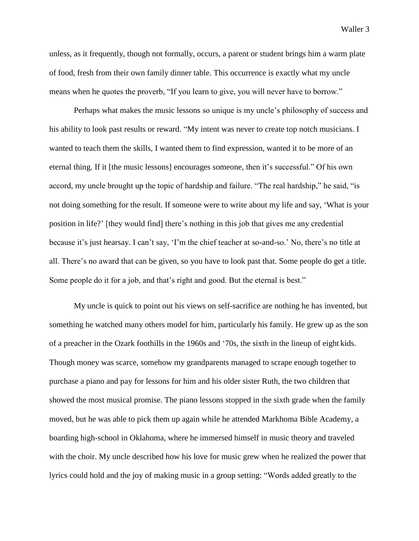unless, as it frequently, though not formally, occurs, a parent or student brings him a warm plate of food, fresh from their own family dinner table. This occurrence is exactly what my uncle means when he quotes the proverb, "If you learn to give, you will never have to borrow."

Perhaps what makes the music lessons so unique is my uncle's philosophy of success and his ability to look past results or reward. "My intent was never to create top notch musicians. I wanted to teach them the skills, I wanted them to find expression, wanted it to be more of an eternal thing. If it [the music lessons] encourages someone, then it's successful." Of his own accord, my uncle brought up the topic of hardship and failure. "The real hardship," he said, "is not doing something for the result. If someone were to write about my life and say, 'What is your position in life?' [they would find] there's nothing in this job that gives me any credential because it's just hearsay. I can't say, 'I'm the chief teacher at so-and-so.' No, there's no title at all. There's no award that can be given, so you have to look past that. Some people do get a title. Some people do it for a job, and that's right and good. But the eternal is best."

My uncle is quick to point out his views on self-sacrifice are nothing he has invented, but something he watched many others model for him, particularly his family. He grew up as the son of a preacher in the Ozark foothills in the 1960s and '70s, the sixth in the lineup of eight kids. Though money was scarce, somehow my grandparents managed to scrape enough together to purchase a piano and pay for lessons for him and his older sister Ruth, the two children that showed the most musical promise. The piano lessons stopped in the sixth grade when the family moved, but he was able to pick them up again while he attended Markhoma Bible Academy, a boarding high-school in Oklahoma, where he immersed himself in music theory and traveled with the choir. My uncle described how his love for music grew when he realized the power that lyrics could hold and the joy of making music in a group setting: "Words added greatly to the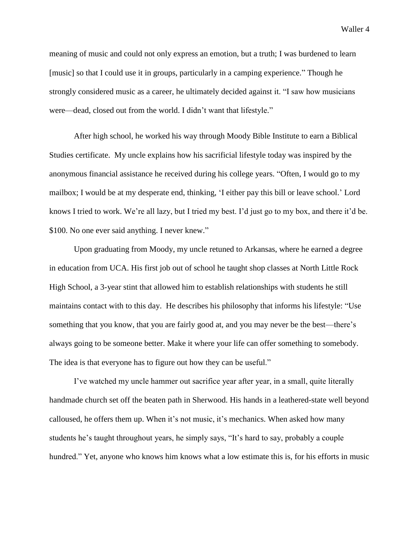Waller 4

meaning of music and could not only express an emotion, but a truth; I was burdened to learn [music] so that I could use it in groups, particularly in a camping experience." Though he strongly considered music as a career, he ultimately decided against it. "I saw how musicians were—dead, closed out from the world. I didn't want that lifestyle."

After high school, he worked his way through Moody Bible Institute to earn a Biblical Studies certificate. My uncle explains how his sacrificial lifestyle today was inspired by the anonymous financial assistance he received during his college years. "Often, I would go to my mailbox; I would be at my desperate end, thinking, 'I either pay this bill or leave school.' Lord knows I tried to work. We're all lazy, but I tried my best. I'd just go to my box, and there it'd be. \$100. No one ever said anything. I never knew."

Upon graduating from Moody, my uncle retuned to Arkansas, where he earned a degree in education from UCA. His first job out of school he taught shop classes at North Little Rock High School, a 3-year stint that allowed him to establish relationships with students he still maintains contact with to this day. He describes his philosophy that informs his lifestyle: "Use something that you know, that you are fairly good at, and you may never be the best—there's always going to be someone better. Make it where your life can offer something to somebody. The idea is that everyone has to figure out how they can be useful."

I've watched my uncle hammer out sacrifice year after year, in a small, quite literally handmade church set off the beaten path in Sherwood. His hands in a leathered-state well beyond calloused, he offers them up. When it's not music, it's mechanics. When asked how many students he's taught throughout years, he simply says, "It's hard to say, probably a couple hundred." Yet, anyone who knows him knows what a low estimate this is, for his efforts in music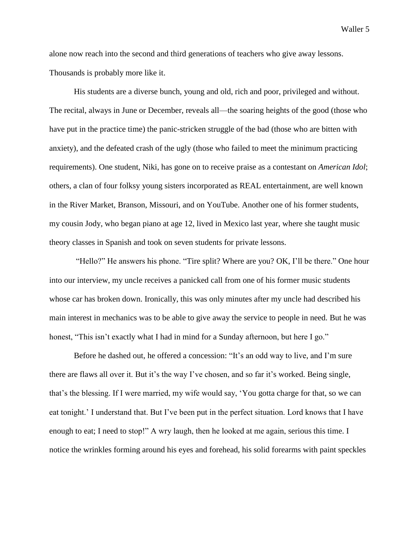Waller 5

alone now reach into the second and third generations of teachers who give away lessons. Thousands is probably more like it.

His students are a diverse bunch, young and old, rich and poor, privileged and without. The recital, always in June or December, reveals all—the soaring heights of the good (those who have put in the practice time) the panic-stricken struggle of the bad (those who are bitten with anxiety), and the defeated crash of the ugly (those who failed to meet the minimum practicing requirements). One student, Niki, has gone on to receive praise as a contestant on *American Idol*; others, a clan of four folksy young sisters incorporated as REAL entertainment, are well known in the River Market, Branson, Missouri, and on YouTube. Another one of his former students, my cousin Jody, who began piano at age 12, lived in Mexico last year, where she taught music theory classes in Spanish and took on seven students for private lessons.

"Hello?" He answers his phone. "Tire split? Where are you? OK, I'll be there." One hour into our interview, my uncle receives a panicked call from one of his former music students whose car has broken down. Ironically, this was only minutes after my uncle had described his main interest in mechanics was to be able to give away the service to people in need. But he was honest, "This isn't exactly what I had in mind for a Sunday afternoon, but here I go."

Before he dashed out, he offered a concession: "It's an odd way to live, and I'm sure there are flaws all over it. But it's the way I've chosen, and so far it's worked. Being single, that's the blessing. If I were married, my wife would say, 'You gotta charge for that, so we can eat tonight.' I understand that. But I've been put in the perfect situation. Lord knows that I have enough to eat; I need to stop!" A wry laugh, then he looked at me again, serious this time. I notice the wrinkles forming around his eyes and forehead, his solid forearms with paint speckles